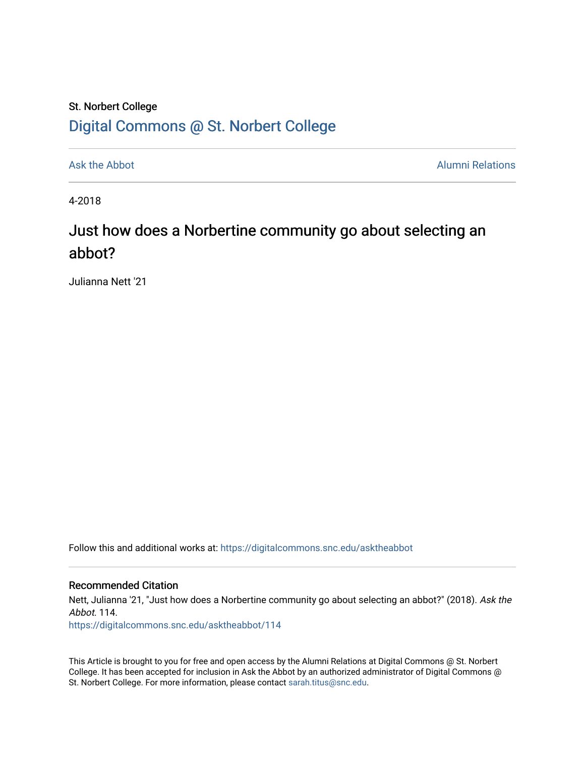### St. Norbert College [Digital Commons @ St. Norbert College](https://digitalcommons.snc.edu/)

[Ask the Abbot](https://digitalcommons.snc.edu/asktheabbot) **Alumni Relations** Ask the Abbot [Alumni Relations](https://digitalcommons.snc.edu/alumni) and Alumni Relations and Alumni Relations and Alumni Relations and Alumni Relations and Alumni Relations and Alumni Relations and Alumni Relations and Alumni

4-2018

## Just how does a Norbertine community go about selecting an abbot?

Julianna Nett '21

Follow this and additional works at: [https://digitalcommons.snc.edu/asktheabbot](https://digitalcommons.snc.edu/asktheabbot?utm_source=digitalcommons.snc.edu%2Fasktheabbot%2F114&utm_medium=PDF&utm_campaign=PDFCoverPages)

#### Recommended Citation

Nett, Julianna '21, "Just how does a Norbertine community go about selecting an abbot?" (2018). Ask the Abbot. 114.

[https://digitalcommons.snc.edu/asktheabbot/114](https://digitalcommons.snc.edu/asktheabbot/114?utm_source=digitalcommons.snc.edu%2Fasktheabbot%2F114&utm_medium=PDF&utm_campaign=PDFCoverPages) 

This Article is brought to you for free and open access by the Alumni Relations at Digital Commons @ St. Norbert College. It has been accepted for inclusion in Ask the Abbot by an authorized administrator of Digital Commons @ St. Norbert College. For more information, please contact [sarah.titus@snc.edu.](mailto:sarah.titus@snc.edu)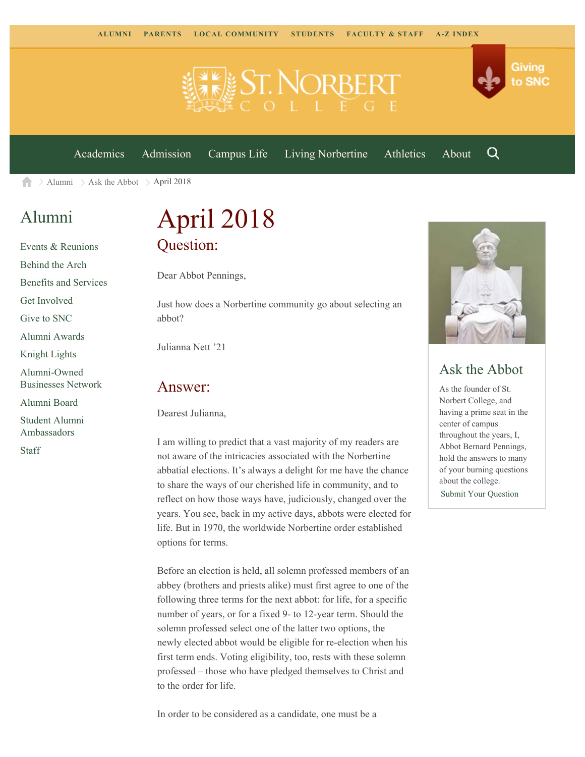

[Academics](https://www.snc.edu/academics) [Admission](https://www.snc.edu/admission) [Campus Life](https://www.snc.edu/campuslife) [Living Norbertine](https://www.snc.edu/livingnorbertine) [Athletics](https://www.snc.edu/athletics) [About](https://www.snc.edu/about)

Q

Giving

to SNC

 $\ge$  [Alumni](https://www.snc.edu/alumni/)  $\ge$  [Ask the Abbot](https://www.snc.edu/alumni/abbot/)  $\ge$  April 2018 合

### [Alumni](https://www.snc.edu/alumni/index.html)

[Events & Reunions](https://www.snc.edu/alumni/event/index.html) [Behind the Arch](https://www.snc.edu/alumni/event/behindthearch/) [Benefits and Services](https://www.snc.edu/alumni/benefits.html) [Get Involved](https://www.snc.edu/alumni/getinvolved.html) [Give to SNC](http://giving.snc.edu/) [Alumni Awards](https://www.snc.edu/alumni/awards/index.html) [Knight Lights](https://www.snc.edu/alumni/knightlights/index.html) [Alumni-Owned](https://www.snc.edu/alumni/directory/index.html) [Businesses Network](https://www.snc.edu/alumni/directory/index.html) [Alumni Board](https://www.snc.edu/alumni/alumniboard.html) [Student Alumni](https://www.snc.edu/alumni/saa.html) [Ambassadors](https://www.snc.edu/alumni/saa.html) [Staff](https://www.snc.edu/alumni/contactus.html)

# April 2018 Question:

Dear Abbot Pennings,

Just how does a Norbertine community go about selecting an abbot?

Julianna Nett '21

#### Answer:

Dearest Julianna,

I am willing to predict that a vast majority of my readers are not aware of the intricacies associated with the Norbertine abbatial elections. It's always a delight for me have the chance to share the ways of our cherished life in community, and to reflect on how those ways have, judiciously, changed over the years. You see, back in my active days, abbots were elected for life. But in 1970, the worldwide Norbertine order established options for terms.

Before an election is held, all solemn professed members of an abbey (brothers and priests alike) must first agree to one of the following three terms for the next abbot: for life, for a specific number of years, or for a fixed 9- to 12-year term. Should the solemn professed select one of the latter two options, the newly elected abbot would be eligible for re-election when his first term ends. Voting eligibility, too, rests with these solemn professed – those who have pledged themselves to Christ and to the order for life.



#### Ask the Abbot

As the founder of St. Norbert College, and having a prime seat in the center of campus throughout the years, I, Abbot Bernard Pennings, hold the answers to many of your burning questions about the college. [Submit Your Question](https://www.snc.edu/alumni/abbot/index.html)

In order to be considered as a candidate, one must be a